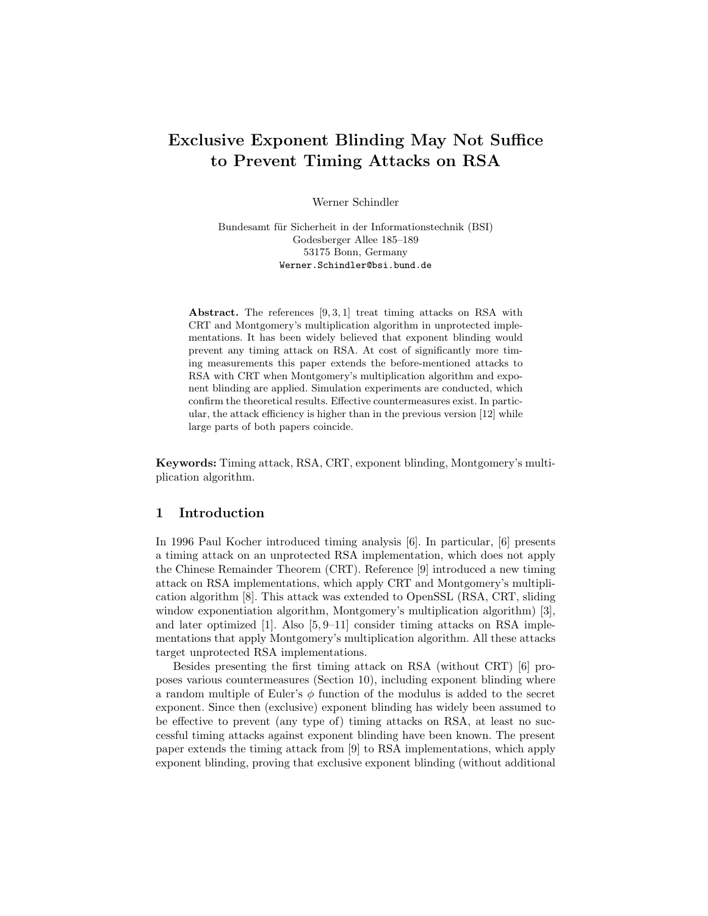# Exclusive Exponent Blinding May Not Suffice to Prevent Timing Attacks on RSA

Werner Schindler

Bundesamt für Sicherheit in der Informationstechnik (BSI) Godesberger Allee 185–189 53175 Bonn, Germany Werner.Schindler@bsi.bund.de

Abstract. The references  $[9, 3, 1]$  treat timing attacks on RSA with CRT and Montgomery's multiplication algorithm in unprotected implementations. It has been widely believed that exponent blinding would prevent any timing attack on RSA. At cost of significantly more timing measurements this paper extends the before-mentioned attacks to RSA with CRT when Montgomery's multiplication algorithm and exponent blinding are applied. Simulation experiments are conducted, which confirm the theoretical results. Effective countermeasures exist. In particular, the attack efficiency is higher than in the previous version [12] while large parts of both papers coincide.

Keywords: Timing attack, RSA, CRT, exponent blinding, Montgomery's multiplication algorithm.

# 1 Introduction

In 1996 Paul Kocher introduced timing analysis [6]. In particular, [6] presents a timing attack on an unprotected RSA implementation, which does not apply the Chinese Remainder Theorem (CRT). Reference [9] introduced a new timing attack on RSA implementations, which apply CRT and Montgomery's multiplication algorithm [8]. This attack was extended to OpenSSL (RSA, CRT, sliding window exponentiation algorithm, Montgomery's multiplication algorithm) [3], and later optimized  $[1]$ . Also  $[5, 9-11]$  consider timing attacks on RSA implementations that apply Montgomery's multiplication algorithm. All these attacks target unprotected RSA implementations.

Besides presenting the first timing attack on RSA (without CRT) [6] proposes various countermeasures (Section 10), including exponent blinding where a random multiple of Euler's  $\phi$  function of the modulus is added to the secret exponent. Since then (exclusive) exponent blinding has widely been assumed to be effective to prevent (any type of) timing attacks on RSA, at least no successful timing attacks against exponent blinding have been known. The present paper extends the timing attack from [9] to RSA implementations, which apply exponent blinding, proving that exclusive exponent blinding (without additional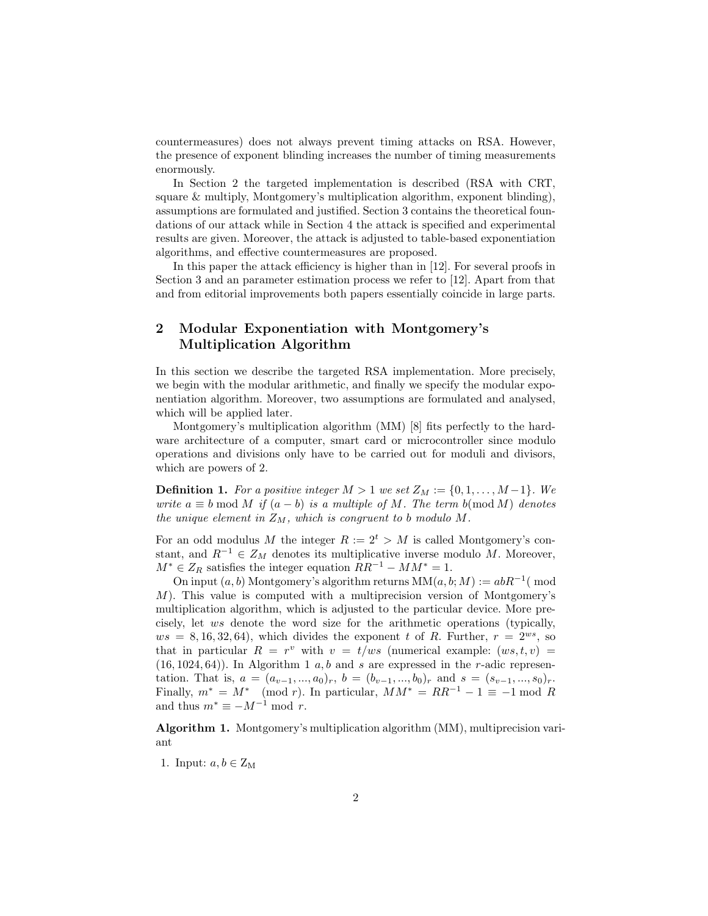countermeasures) does not always prevent timing attacks on RSA. However, the presence of exponent blinding increases the number of timing measurements enormously.

In Section 2 the targeted implementation is described (RSA with CRT, square & multiply, Montgomery's multiplication algorithm, exponent blinding), assumptions are formulated and justified. Section 3 contains the theoretical foundations of our attack while in Section 4 the attack is specified and experimental results are given. Moreover, the attack is adjusted to table-based exponentiation algorithms, and effective countermeasures are proposed.

In this paper the attack efficiency is higher than in [12]. For several proofs in Section 3 and an parameter estimation process we refer to [12]. Apart from that and from editorial improvements both papers essentially coincide in large parts.

# 2 Modular Exponentiation with Montgomery's Multiplication Algorithm

In this section we describe the targeted RSA implementation. More precisely, we begin with the modular arithmetic, and finally we specify the modular exponentiation algorithm. Moreover, two assumptions are formulated and analysed, which will be applied later.

Montgomery's multiplication algorithm (MM) [8] fits perfectly to the hardware architecture of a computer, smart card or microcontroller since modulo operations and divisions only have to be carried out for moduli and divisors, which are powers of 2.

**Definition 1.** For a positive integer  $M > 1$  we set  $Z_M := \{0, 1, \ldots, M-1\}$ . We write  $a \equiv b \mod M$  if  $(a - b)$  is a multiple of M. The term b(mod M) denotes the unique element in  $Z_M$ , which is congruent to b modulo M.

For an odd modulus M the integer  $R := 2^t > M$  is called Montgomery's constant, and  $R^{-1} \in Z_M$  denotes its multiplicative inverse modulo M. Moreover,  $M^* \in Z_R$  satisfies the integer equation  $RR^{-1} - MM^* = 1$ .

On input  $(a, b)$  Montgomery's algorithm returns  $MM(a, b; M) := abR^{-1}$  (mod M). This value is computed with a multiprecision version of Montgomery's multiplication algorithm, which is adjusted to the particular device. More precisely, let ws denote the word size for the arithmetic operations (typically,  $ws = 8, 16, 32, 64$ , which divides the exponent t of R. Further,  $r = 2^{ws}$ , so that in particular  $R = r^v$  with  $v = t/ws$  (numerical example:  $(ws, t, v)$  $(16, 1024, 64)$ . In Algorithm 1 a, b and s are expressed in the r-adic representation. That is,  $a = (a_{v-1},...,a_0)_r$ ,  $b = (b_{v-1},...,b_0)_r$  and  $s = (s_{v-1},...,s_0)_r$ . Finally,  $m^* = M^* \pmod{r}$ . In particular,  $MM^* = RR^{-1} - 1 \equiv -1 \bmod R$ and thus  $m^* \equiv -M^{-1} \mod r$ .

Algorithm 1. Montgomery's multiplication algorithm (MM), multiprecision variant

1. Input:  $a, b \in Z_M$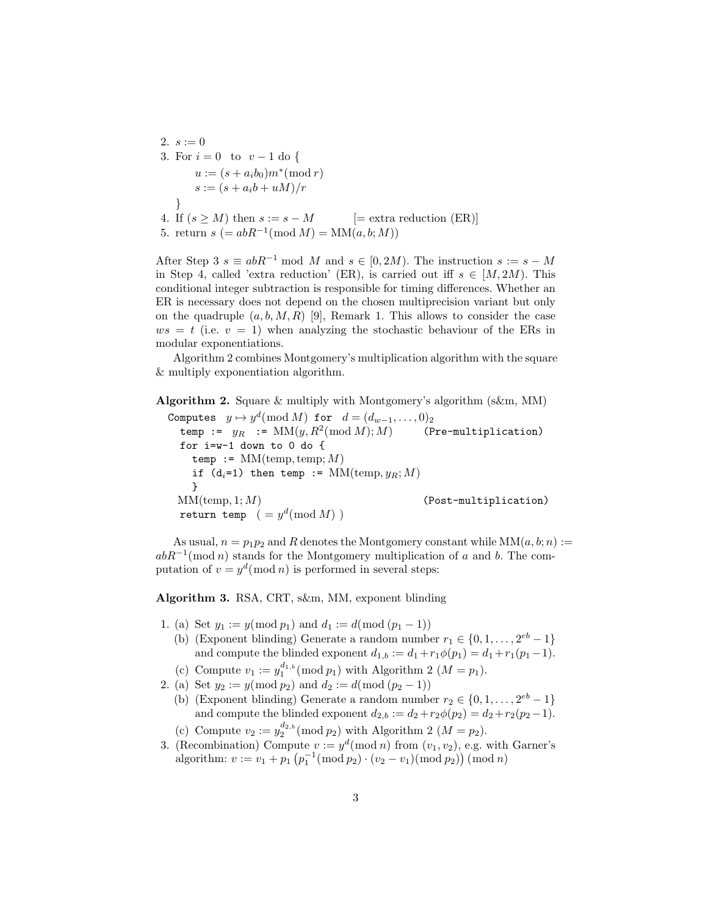2.  $s := 0$ 3. For  $i = 0$  to  $v - 1$  do {  $u := (s + a_i b_0) m^* \pmod{r}$  $s := (s + a_i b + u M)/r$ } 4. If  $(s \geq M)$  then  $s := s - M$  [= extra reduction (ER)]

5. return  $s (= abR^{-1} (mod M) = MM(a, b; M))$ 

After Step 3  $s \equiv abR^{-1} \mod M$  and  $s \in [0, 2M)$ . The instruction  $s := s - M$ in Step 4, called 'extra reduction' (ER), is carried out iff  $s \in [M, 2M)$ . This conditional integer subtraction is responsible for timing differences. Whether an ER is necessary does not depend on the chosen multiprecision variant but only on the quadruple  $(a, b, M, R)$  [9], Remark 1. This allows to consider the case  $ws = t$  (i.e.  $v = 1$ ) when analyzing the stochastic behaviour of the ERs in modular exponentiations.

Algorithm 2 combines Montgomery's multiplication algorithm with the square & multiply exponentiation algorithm.

Algorithm 2. Square & multiply with Montgomery's algorithm (s&m, MM)

Computes  $y \mapsto y^d ( \text{mod} \ M)$  for  $d = (d_{w-1}, \ldots, 0)_2$ temp :=  $y_R$  :=  $MM(y, R^2 \text{(mod }M); M)$ (Pre-multiplication) for i=w-1 down to 0 do { temp :=  $MM$ (temp, temp; M) if  $(d_i=1)$  then temp :=  $MM(\text{temp}, y_B; M)$ }  $MM(\text{temp}, 1; M)$  (Post-multiplication) return temp  $( = y^d (mod M) )$ 

As usual,  $n = p_1p_2$  and R denotes the Montgomery constant while  $MM(a, b; n) :=$  $abR^{-1}(\text{mod }n)$  stands for the Montgomery multiplication of a and b. The computation of  $v = y^d \pmod{n}$  is performed in several steps:

Algorithm 3. RSA, CRT, s&m, MM, exponent blinding

- 1. (a) Set  $y_1 := y \pmod{p_1}$  and  $d_1 := d \pmod{p_1 1}$ 
	- (b) (Exponent blinding) Generate a random number  $r_1 \in \{0, 1, \ldots, 2^{eb} 1\}$ and compute the blinded exponent  $d_{1,b} := d_1 + r_1 \phi(p_1) = d_1 + r_1(p_1-1)$ .
	- (c) Compute  $v_1 := y_1^{d_1, b} \pmod{p_1}$  with Algorithm 2  $(M = p_1)$ .
- 2. (a) Set  $y_2 := y \pmod{p_2}$  and  $d_2 := d \pmod{p_2 1}$ 
	- (b) (Exponent blinding) Generate a random number  $r_2 \in \{0, 1, \ldots, 2^{eb} 1\}$ and compute the blinded exponent  $d_{2,b} := d_2 + r_2 \phi(p_2) = d_2 + r_2(p_2 - 1)$ . (c) Compute  $v_2 := y_2^{d_2, b} \pmod{p_2}$  with Algorithm 2  $(M = p_2)$ .
- 3. (Recombination) Compute  $v := y^d \pmod{n}$  from  $(v_1, v_2)$ , e.g. with Garner's algorithm:  $v := v_1 + p_1 \left( p_1^{-1}(\text{mod } p_2) \cdot (v_2 - v_1)(\text{mod } p_2) \right) (\text{mod } n)$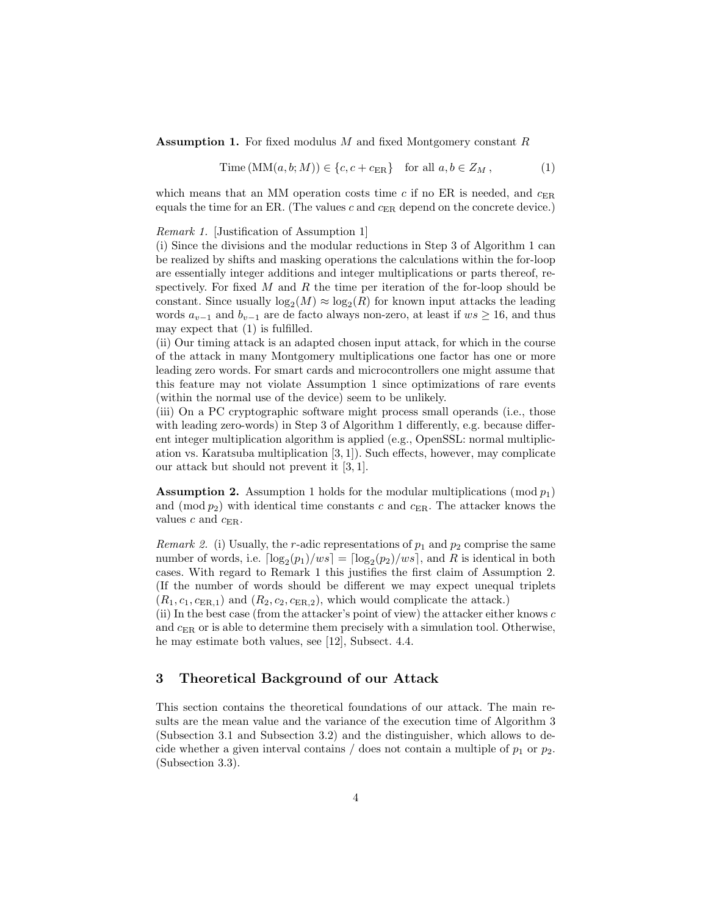#### **Assumption 1.** For fixed modulus M and fixed Montgomery constant R

$$
Time(MM(a, b; M)) \in \{c, c + c_{\text{ER}}\} \text{ for all } a, b \in Z_M ,
$$
 (1)

which means that an MM operation costs time  $c$  if no ER is needed, and  $c_{\text{ER}}$ equals the time for an ER. (The values c and  $c_{\rm ER}$  depend on the concrete device.)

Remark 1. [Justification of Assumption 1]

(i) Since the divisions and the modular reductions in Step 3 of Algorithm 1 can be realized by shifts and masking operations the calculations within the for-loop are essentially integer additions and integer multiplications or parts thereof, respectively. For fixed  $M$  and  $R$  the time per iteration of the for-loop should be constant. Since usually  $log_2(M) \approx log_2(R)$  for known input attacks the leading words  $a_{v-1}$  and  $b_{v-1}$  are de facto always non-zero, at least if  $ws \ge 16$ , and thus may expect that (1) is fulfilled.

(ii) Our timing attack is an adapted chosen input attack, for which in the course of the attack in many Montgomery multiplications one factor has one or more leading zero words. For smart cards and microcontrollers one might assume that this feature may not violate Assumption 1 since optimizations of rare events (within the normal use of the device) seem to be unlikely.

(iii) On a PC cryptographic software might process small operands (i.e., those with leading zero-words) in Step 3 of Algorithm 1 differently, e.g. because different integer multiplication algorithm is applied (e.g., OpenSSL: normal multiplication vs. Karatsuba multiplication [3, 1]). Such effects, however, may complicate our attack but should not prevent it [3, 1].

**Assumption 2.** Assumption 1 holds for the modular multiplications (mod  $p_1$ ) and (mod  $p_2$ ) with identical time constants c and  $c_{\text{ER}}$ . The attacker knows the values  $c$  and  $c_{\text{ER}}$ .

*Remark 2.* (i) Usually, the r-adic representations of  $p_1$  and  $p_2$  comprise the same number of words, i.e.  $\lceil \log_2(p_1)/ws \rceil = \lceil \log_2(p_2)/ws \rceil$ , and R is identical in both cases. With regard to Remark 1 this justifies the first claim of Assumption 2. (If the number of words should be different we may expect unequal triplets  $(R_1, c_1, c_{\text{ER},1})$  and  $(R_2, c_2, c_{\text{ER},2})$ , which would complicate the attack.)

(ii) In the best case (from the attacker's point of view) the attacker either knows  $c$ and  $c_{ER}$  or is able to determine them precisely with a simulation tool. Otherwise, he may estimate both values, see [12], Subsect. 4.4.

## 3 Theoretical Background of our Attack

This section contains the theoretical foundations of our attack. The main results are the mean value and the variance of the execution time of Algorithm 3 (Subsection 3.1 and Subsection 3.2) and the distinguisher, which allows to decide whether a given interval contains / does not contain a multiple of  $p_1$  or  $p_2$ . (Subsection 3.3).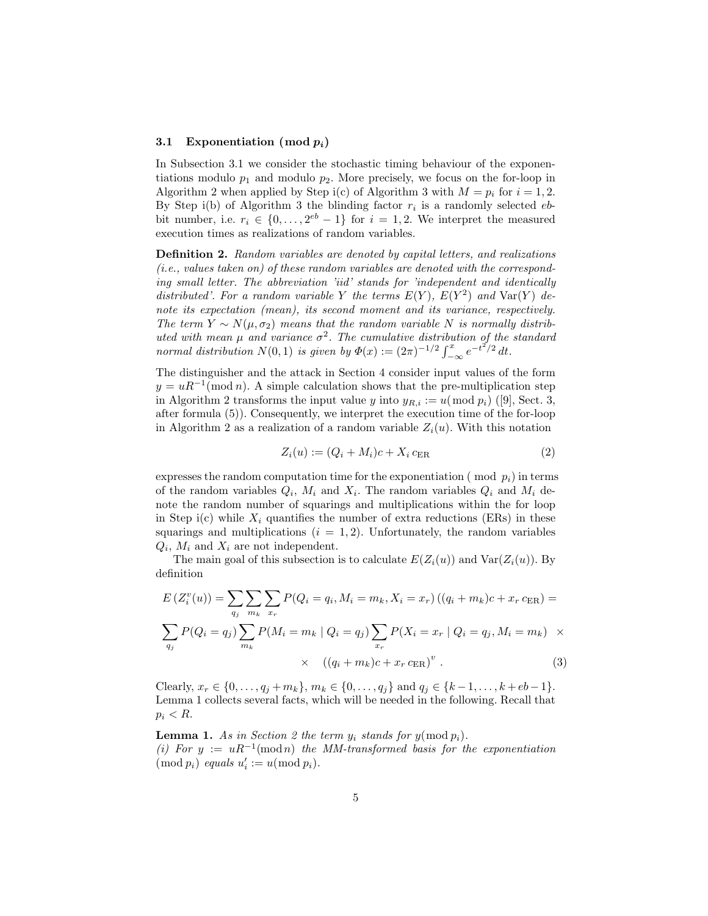#### 3.1 Exponentiation (mod  $p_i$ )

In Subsection 3.1 we consider the stochastic timing behaviour of the exponentiations modulo  $p_1$  and modulo  $p_2$ . More precisely, we focus on the for-loop in Algorithm 2 when applied by Step i(c) of Algorithm 3 with  $M = p_i$  for  $i = 1, 2$ . By Step i(b) of Algorithm 3 the blinding factor  $r_i$  is a randomly selected  $eb$ bit number, i.e.  $r_i \in \{0, \ldots, 2^{eb} - 1\}$  for  $i = 1, 2$ . We interpret the measured execution times as realizations of random variables.

Definition 2. Random variables are denoted by capital letters, and realizations (i.e., values taken on) of these random variables are denoted with the corresponding small letter. The abbreviation 'iid' stands for 'independent and identically distributed'. For a random variable Y the terms  $E(Y)$ ,  $E(Y^2)$  and  $Var(Y)$  denote its expectation (mean), its second moment and its variance, respectively. The term  $Y \sim N(\mu, \sigma_2)$  means that the random variable N is normally distributed with mean  $\mu$  and variance  $\sigma^2$ . The cumulative distribution of the standard normal distribution  $N(0,1)$  is given by  $\Phi(x) := (2\pi)^{-1/2} \int_{-\infty}^{x} e^{-t^{2}/2} dt$ .

The distinguisher and the attack in Section 4 consider input values of the form  $y = uR^{-1}(\text{mod }n)$ . A simple calculation shows that the pre-multiplication step in Algorithm 2 transforms the input value y into  $y_{R,i} := u \pmod{p_i}$  ([9], Sect. 3, after formula (5)). Consequently, we interpret the execution time of the for-loop in Algorithm 2 as a realization of a random variable  $Z_i(u)$ . With this notation

$$
Z_i(u) := (Q_i + M_i)c + X_i c_{\text{ER}} \tag{2}
$$

expresses the random computation time for the exponentiation ( $mod\, p_i$ ) in terms of the random variables  $Q_i$ ,  $M_i$  and  $X_i$ . The random variables  $Q_i$  and  $M_i$  denote the random number of squarings and multiplications within the for loop in Step i(c) while  $X_i$  quantifies the number of extra reductions (ERs) in these squarings and multiplications  $(i = 1, 2)$ . Unfortunately, the random variables  $Q_i$ ,  $M_i$  and  $X_i$  are not independent.

The main goal of this subsection is to calculate  $E(Z_i(u))$  and  $Var(Z_i(u))$ . By definition

$$
E(Z_i^v(u)) = \sum_{q_j} \sum_{m_k} \sum_{x_r} P(Q_i = q_i, M_i = m_k, X_i = x_r) ((q_i + m_k)c + x_r c_{\text{ER}}) =
$$
  

$$
\sum_{q_j} P(Q_i = q_j) \sum_{m_k} P(M_i = m_k | Q_i = q_j) \sum_{x_r} P(X_i = x_r | Q_i = q_j, M_i = m_k) \times
$$
  

$$
\times ((q_i + m_k)c + x_r c_{\text{ER}})^v.
$$
 (3)

Clearly,  $x_r \in \{0, \ldots, q_j + m_k\}, m_k \in \{0, \ldots, q_j\}$  and  $q_j \in \{k-1, \ldots, k+eb-1\}.$ Lemma 1 collects several facts, which will be needed in the following. Recall that  $p_i < R$ .

**Lemma 1.** As in Section 2 the term  $y_i$  stands for  $y(\text{mod } p_i)$ . (i) For  $y := uR^{-1}(\text{mod }n)$  the MM-transformed basis for the exponentiation  $\pmod{p_i}$  equals  $u'_i := u \pmod{p_i}$ .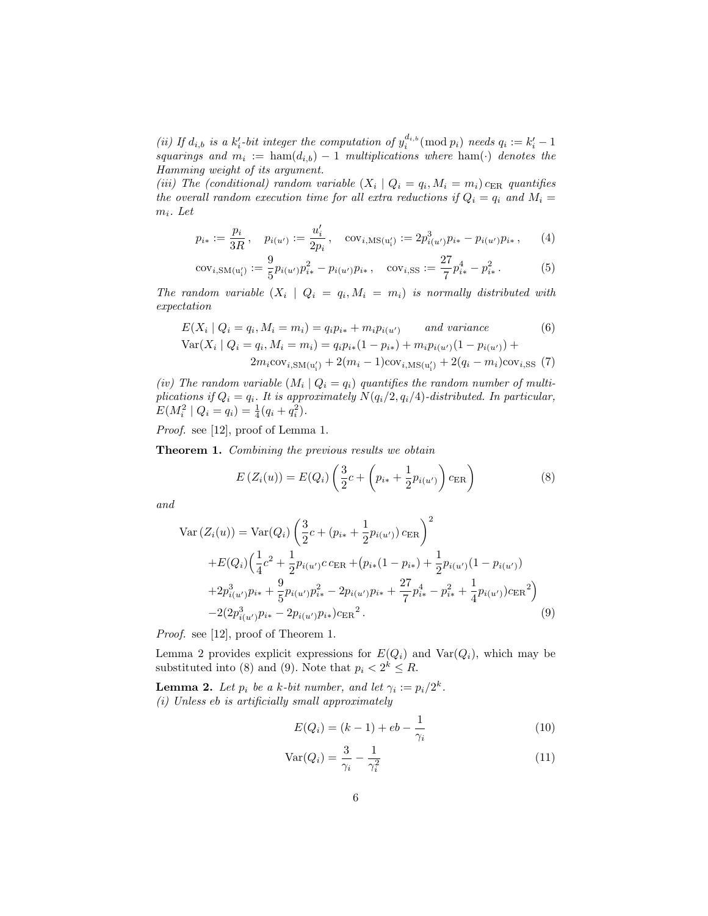(ii) If  $d_{i,b}$  is a  $k'_i$ -bit integer the computation of  $y_i^{d_{i,b}}(\text{mod } p_i)$  needs  $q_i := k'_i - 1$ squarings and  $m_i := \text{ham}(d_{i,b}) - 1$  multiplications where  $\text{ham}(\cdot)$  denotes the Hamming weight of its argument.

(iii) The (conditional) random variable  $(X_i | Q_i = q_i, M_i = m_i) c_{\text{ER}}$  quantifies the overall random execution time for all extra reductions if  $Q_i = q_i$  and  $M_i =$  $m_i$ . Let

$$
p_{i*} := \frac{p_i}{3R}, \quad p_{i(u')} := \frac{u'_i}{2p_i}, \quad \text{cov}_{i,\text{MS}(u'_i)} := 2p_{i(u')}^3 p_{i*} - p_{i(u')} p_{i*}, \quad (4)
$$

$$
cov_{i,SM(u_i')} := \frac{9}{5} p_{i(u')} p_{i*}^2 - p_{i(u')} p_{i*}, \quad cov_{i,SS} := \frac{27}{7} p_{i*}^4 - p_{i*}^2. \tag{5}
$$

The random variable  $(X_i \mid Q_i = q_i, M_i = m_i)$  is normally distributed with expectation

$$
E(X_i | Q_i = q_i, M_i = m_i) = q_i p_{i*} + m_i p_{i(u')}
$$
 and variance  
\n
$$
Var(X_i | Q_i = q_i, M_i = m_i) = q_i p_{i*} (1 - p_{i*}) + m_i p_{i(u')} (1 - p_{i(u')}) +
$$
\n
$$
2m_i cov_{i, SM(u'_i)} + 2(m_i - 1) cov_{i, MS(u'_i)} + 2(q_i - m_i) cov_{i, SS}(7)
$$

(iv) The random variable  $(M_i | Q_i = q_i)$  quantifies the random number of multiplications if  $Q_i = q_i$ . It is approximately  $N(q_i/2, q_i/4)$ -distributed. In particular,  $E(M_i^2 | Q_i = q_i) = \frac{1}{4}(q_i + q_i^2).$ 

Proof. see [12], proof of Lemma 1.

Theorem 1. Combining the previous results we obtain

$$
E(Z_i(u)) = E(Q_i) \left( \frac{3}{2} c + \left( p_{i*} + \frac{1}{2} p_{i(u')} \right) c_{\text{ER}} \right)
$$
 (8)

and

$$
\text{Var}\left(Z_i(u)\right) = \text{Var}(Q_i) \left(\frac{3}{2}c + (p_{i*} + \frac{1}{2}p_{i(u')})c_{\text{ER}}\right)^2
$$

$$
+ E(Q_i) \left(\frac{1}{4}c^2 + \frac{1}{2}p_{i(u')}c_{\text{ER}} + (p_{i*}(1 - p_{i*}) + \frac{1}{2}p_{i(u')}(1 - p_{i(u')})
$$

$$
+ 2p_{i(u')}^3p_{i*} + \frac{9}{5}p_{i(u')}p_{i*}^2 - 2p_{i(u')}p_{i*} + \frac{27}{7}p_{i*}^4 - p_{i*}^2 + \frac{1}{4}p_{i(u')})c_{\text{ER}}^2\right)
$$

$$
-2(2p_{i(u')}^3p_{i*} - 2p_{i(u')}p_{i*})c_{\text{ER}}^2.
$$
(9)

Proof. see [12], proof of Theorem 1.

Lemma 2 provides explicit expressions for  $E(Q_i)$  and  $Var(Q_i)$ , which may be substituted into (8) and (9). Note that  $p_i < 2^k \leq R$ .

**Lemma 2.** Let  $p_i$  be a k-bit number, and let  $\gamma_i := p_i/2^k$ . (i) Unless eb is artificially small approximately

$$
E(Q_i) = (k-1) + eb - \frac{1}{\gamma_i}
$$
\n(10)

$$
Var(Q_i) = \frac{3}{\gamma_i} - \frac{1}{\gamma_i^2}
$$
\n(11)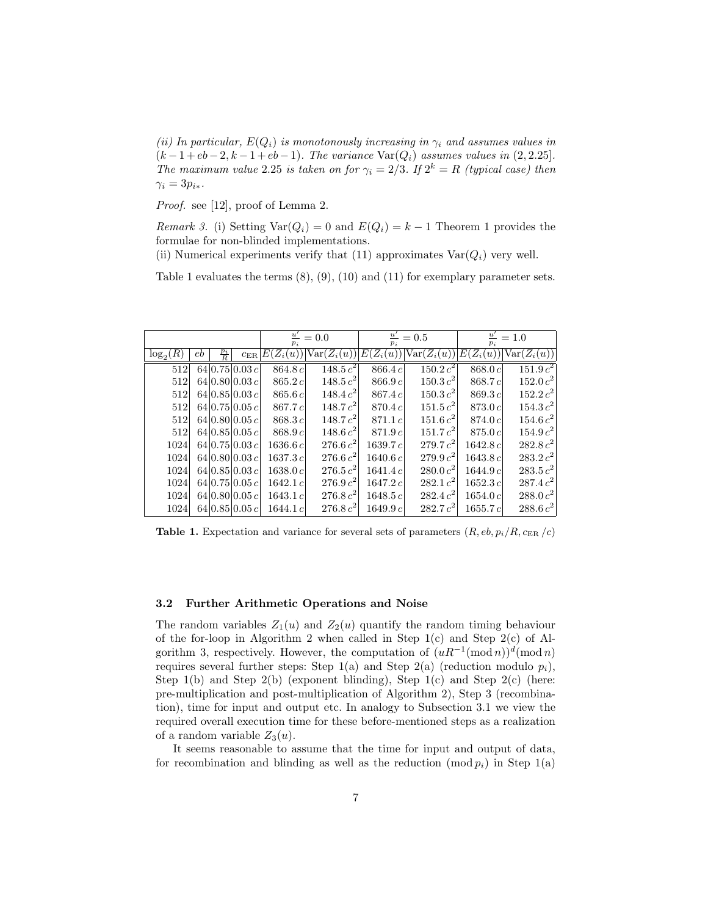(ii) In particular,  $E(Q_i)$  is monotonously increasing in  $\gamma_i$  and assumes values in  $(k-1+eb-2, k-1+eb-1)$ . The variance Var $(Q_i)$  assumes values in  $(2, 2.25]$ . The maximum value 2.25 is taken on for  $\gamma_i = 2/3$ . If  $2^k = R$  (typical case) then  $\gamma_i = 3p_{i*}.$ 

Proof. see [12], proof of Lemma 2.

Remark 3. (i) Setting  $Var(Q_i) = 0$  and  $E(Q_i) = k - 1$  Theorem 1 provides the formulae for non-blinded implementations.

(ii) Numerical experiments verify that (11) approximates  $Var(Q_i)$  very well.

Table 1 evaluates the terms (8), (9), (10) and (11) for exemplary parameter sets.

|             |    |                 | $\overline{u}$<br>$p_i$ | $=0.0$      | $\frac{u'}{u}$<br>$p_i$ | $= 0.5$          | $\overline{u}$<br>$= 1.0$<br>$p_i$ |             |                      |
|-------------|----|-----------------|-------------------------|-------------|-------------------------|------------------|------------------------------------|-------------|----------------------|
| $\log_2(R)$ | eb | $\frac{p_i}{R}$ | $c_{\rm ER}$            | $E(Z_i(u))$ | $Var(Z_i(u))$           | $(Z_i(u))$<br>E( | $Var(Z_i(u))$                      | $E(Z_i(u))$ | $Var(Z_i(u))$        |
| 512         |    |                 | 64 0.75 0.03c           | 864.8 c     | $148.5 c^2$             | 866.4 c          | $150.2 c^2$                        | 868.0 c     | $151.9c^2$           |
| 512         |    |                 | 64 0.80 0.03c           | 865.2c      | $148.5 c^2$             | 866.9c           | 150.3 c <sup>2</sup>               | 868.7c      | 152.0 c <sup>2</sup> |
| 512         |    |                 | 64 0.85 0.03c           | 865.6c      | $148.4 c^2$             | 867.4c           | 150.3 c <sup>2</sup>               | 869.3c      | $152.2 c^2$          |
| 512         |    |                 | 64 0.75 0.05c           | 867.7c      | 148.7 $c^2$             | 870.4c           | 151.5 c <sup>2</sup>               | 873.0 c     | 154.3 c <sup>2</sup> |
| 512         |    |                 | 64 0.80 0.05c           | 868.3c      | 148.7 c <sup>2</sup>    | 871.1c           | 151.6 c <sup>2</sup>               | 874.0c      | 154.6 c <sup>2</sup> |
| 512         |    |                 | 64 0.85 0.05c           | 868.9c      | 148.6 c <sup>2</sup>    | 871.9c           | 151.7 c <sup>2</sup>               | 875.0c      | 154.9 c <sup>2</sup> |
| 1024        |    |                 | 64 0.75 0.03c           | 1636.6 c    | 276.6 c <sup>2</sup>    | 1639.7 $c$       | $279.7 c^2$                        | 1642.8 c    | $282.8 c^2$          |
| 1024        |    |                 | 64 0.80 0.03c           | 1637.3c     | $276.6 c^2$             | 1640.6 c         | $279.9c^2$                         | 1643.8 c    | $283.2 c^2$          |
| 1024        |    |                 | 64 0.85 0.03c           | 1638.0c     | $276.5c^2$              | 1641.4c          | $280.0 c^2$                        | 1644.9 c    | $283.5 c^2$          |
| 1024        |    |                 | 64 0.75 0.05c           | 1642.1c     | $276.9 c^2$             | 1647.2c          | $282.1 c^2$                        | 1652.3c     | 287.4 c <sup>2</sup> |
| 1024        |    |                 | 64 0.80 0.05c           | 1643.1c     | $276.8 c^2$             | 1648.5 c         | $282.4 c^2$                        | 1654.0c     | $288.0 c^2$          |
| 1024        |    |                 | 64 0.85 0.05c           | 1644.1c     | $276.8 c^2$             | 1649.9c          | 282.7 c <sup>2</sup>               | 1655.7c     | $288.6 c^2$          |

**Table 1.** Expectation and variance for several sets of parameters  $(R, eb, p_i/R, c_{ER}/c)$ 

## 3.2 Further Arithmetic Operations and Noise

The random variables  $Z_1(u)$  and  $Z_2(u)$  quantify the random timing behaviour of the for-loop in Algorithm 2 when called in Step  $1(c)$  and Step  $2(c)$  of Algorithm 3, respectively. However, the computation of  $(uR^{-1}(\text{mod }n))^d(\text{mod }n)$ requires several further steps: Step 1(a) and Step 2(a) (reduction modulo  $p_i$ ), Step  $1(b)$  and Step  $2(b)$  (exponent blinding), Step  $1(c)$  and Step  $2(c)$  (here: pre-multiplication and post-multiplication of Algorithm 2), Step 3 (recombination), time for input and output etc. In analogy to Subsection 3.1 we view the required overall execution time for these before-mentioned steps as a realization of a random variable  $Z_3(u)$ .

It seems reasonable to assume that the time for input and output of data, for recombination and blinding as well as the reduction  $(\text{mod } p_i)$  in Step 1(a)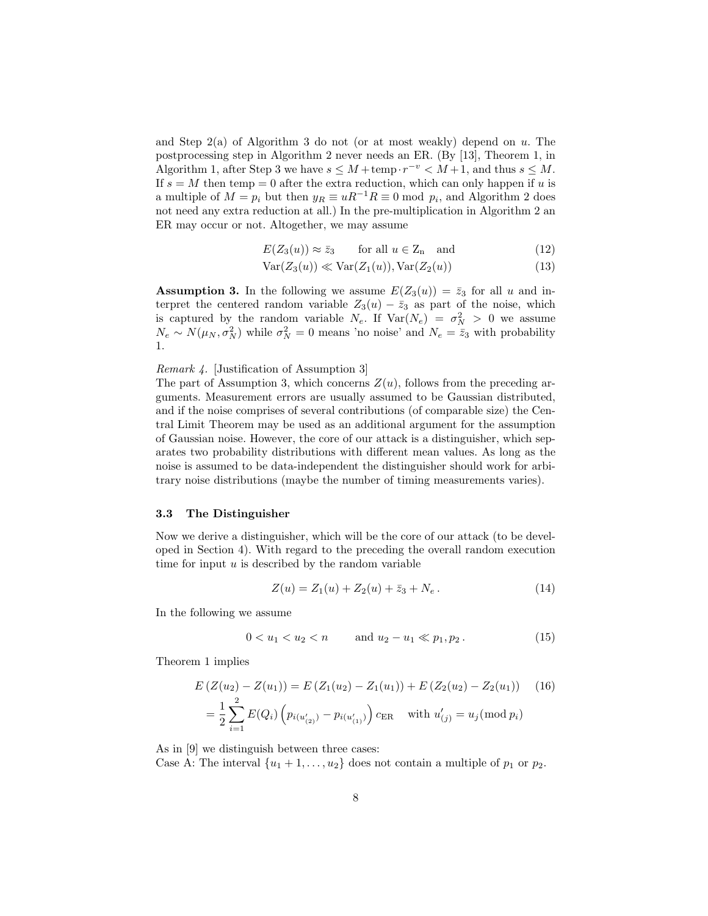and Step  $2(a)$  of Algorithm 3 do not (or at most weakly) depend on u. The postprocessing step in Algorithm 2 never needs an ER. (By [13], Theorem 1, in Algorithm 1, after Step 3 we have  $s \leq M + \text{temp} \cdot r^{-v} < M + 1$ , and thus  $s \leq M$ . If  $s = M$  then temp = 0 after the extra reduction, which can only happen if u is a multiple of  $M = p_i$  but then  $y_R \equiv uR^{-1}R \equiv 0 \mod p_i$ , and Algorithm 2 does not need any extra reduction at all.) In the pre-multiplication in Algorithm 2 an ER may occur or not. Altogether, we may assume

$$
E(Z_3(u)) \approx \bar{z}_3 \qquad \text{for all } u \in Z_n \quad \text{and} \tag{12}
$$

$$
Var(Z_3(u)) \ll Var(Z_1(u)), Var(Z_2(u))
$$
\n(13)

**Assumption 3.** In the following we assume  $E(Z_3(u)) = \overline{z}_3$  for all u and interpret the centered random variable  $Z_3(u) - \bar{z}_3$  as part of the noise, which is captured by the random variable  $N_e$ . If  $Var(N_e) = \sigma_N^2 > 0$  we assume  $N_e \sim N(\mu_N, \sigma_N^2)$  while  $\sigma_N^2 = 0$  means 'no noise' and  $N_e = \bar{z}_3$  with probability 1.

Remark 4. [Justification of Assumption 3]

The part of Assumption 3, which concerns  $Z(u)$ , follows from the preceding arguments. Measurement errors are usually assumed to be Gaussian distributed, and if the noise comprises of several contributions (of comparable size) the Central Limit Theorem may be used as an additional argument for the assumption of Gaussian noise. However, the core of our attack is a distinguisher, which separates two probability distributions with different mean values. As long as the noise is assumed to be data-independent the distinguisher should work for arbitrary noise distributions (maybe the number of timing measurements varies).

## 3.3 The Distinguisher

Now we derive a distinguisher, which will be the core of our attack (to be developed in Section 4). With regard to the preceding the overall random execution time for input  $u$  is described by the random variable

$$
Z(u) = Z_1(u) + Z_2(u) + \bar{z}_3 + N_e.
$$
 (14)

In the following we assume

$$
0 < u_1 < u_2 < n \qquad \text{and } u_2 - u_1 \ll p_1, p_2. \tag{15}
$$

Theorem 1 implies

$$
E(Z(u_2) - Z(u_1)) = E(Z_1(u_2) - Z_1(u_1)) + E(Z_2(u_2) - Z_2(u_1)) \quad (16)
$$
  
=  $\frac{1}{2} \sum_{i=1}^{2} E(Q_i) \left( p_{i(u'_{(2)})} - p_{i(u'_{(1)})} \right) c_{ER} \quad \text{with } u'_{(j)} = u_j \text{ (mod } p_i)$ 

As in [9] we distinguish between three cases: Case A: The interval  $\{u_1 + 1, \ldots, u_2\}$  does not contain a multiple of  $p_1$  or  $p_2$ .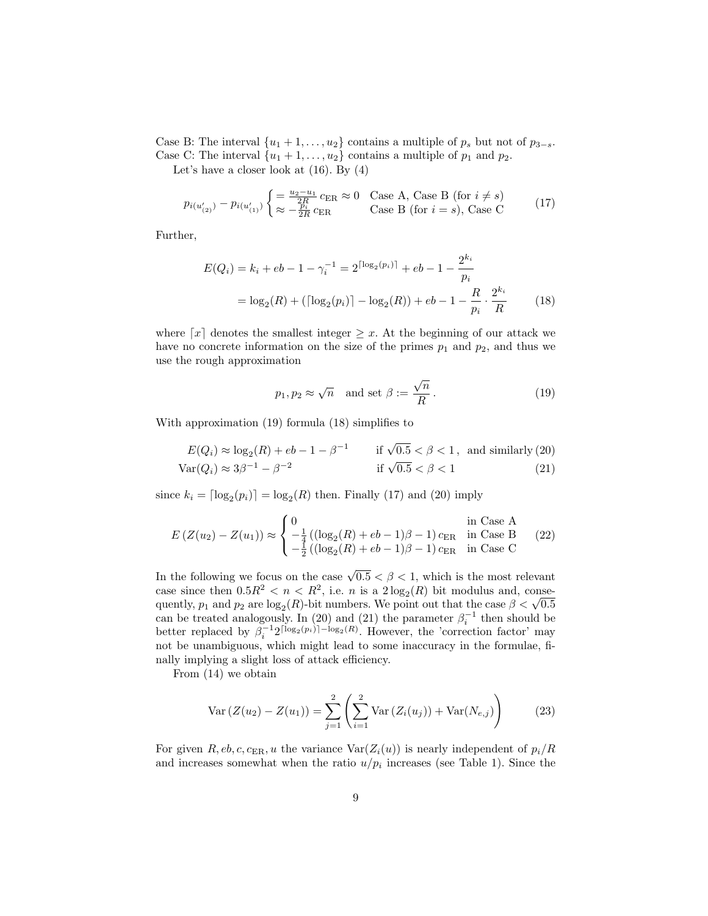Case B: The interval  $\{u_1 + 1, \ldots, u_2\}$  contains a multiple of  $p_s$  but not of  $p_{3-s}$ . Case C: The interval  $\{u_1 + 1, \ldots, u_2\}$  contains a multiple of  $p_1$  and  $p_2$ .

Let's have a closer look at (16). By (4)

$$
p_{i(u'_{(2)})} - p_{i(u'_{(1)})} \begin{cases} = \frac{u_2 - u_1}{2R} c_{\text{ER}} \approx 0 & \text{Case A, Case B (for } i \neq s) \\ \approx -\frac{p_i}{2R} c_{\text{ER}} & \text{Case B (for } i = s), \text{ Case C} \end{cases}
$$
(17)

Further,

$$
E(Q_i) = k_i + eb - 1 - \gamma_i^{-1} = 2^{\lceil \log_2(p_i) \rceil} + eb - 1 - \frac{2^{k_i}}{p_i}
$$

$$
= \log_2(R) + (\lceil \log_2(p_i) \rceil - \log_2(R)) + eb - 1 - \frac{R}{p_i} \cdot \frac{2^{k_i}}{R} \tag{18}
$$

where  $\lceil x \rceil$  denotes the smallest integer  $\geq x$ . At the beginning of our attack we have no concrete information on the size of the primes  $p_1$  and  $p_2$ , and thus we use the rough approximation

$$
p_1, p_2 \approx \sqrt{n}
$$
 and set  $\beta := \frac{\sqrt{n}}{R}$ . (19)

With approximation (19) formula (18) simplifies to

$$
E(Q_i) \approx \log_2(R) + eb - 1 - \beta^{-1}
$$
if  $\sqrt{0.5} < \beta < 1$ , and similarly (20)  
 
$$
Var(Q_i) \approx 3\beta^{-1} - \beta^{-2}
$$
if  $\sqrt{0.5} < \beta < 1$  (21)

since  $k_i = \lceil \log_2(p_i) \rceil = \log_2(R)$  then. Finally (17) and (20) imply

$$
E(Z(u_2) - Z(u_1)) \approx \begin{cases} 0 & \text{in Case A} \\ -\frac{1}{4} ((\log_2(R) + eb - 1)\beta - 1) c_{\text{ER}} & \text{in Case B} \\ -\frac{1}{2} ((\log_2(R) + eb - 1)\beta - 1) c_{\text{ER}} & \text{in Case C} \end{cases}
$$
 (22)

In the following we focus on the case  $\sqrt{0.5} < \beta < 1$ , which is the most relevant case since then  $0.5R^2 < n < R^2$ , i.e. *n* is a  $2\log_2(R)$  bit modulus and, consecase since then  $0.5K^2 < n < K^2$ , i.e. *n* is a  $2\log_2(K)$  bit modulus and, consequently,  $p_1$  and  $p_2$  are  $\log_2(R)$ -bit numbers. We point out that the case  $\beta < \sqrt{0.5}$ can be treated analogously. In (20) and (21) the parameter  $\beta_i^{-1}$  then should be better replaced by  $\beta_i^{-1}2^{\lceil \log_2(p_i) \rceil - \log_2(R)}$ . However, the 'correction factor' may not be unambiguous, which might lead to some inaccuracy in the formulae, finally implying a slight loss of attack efficiency.

From (14) we obtain

$$
Var(Z(u_2) - Z(u_1)) = \sum_{j=1}^{2} \left( \sum_{i=1}^{2} Var(Z_i(u_j)) + Var(N_{e,j}) \right)
$$
(23)

For given R, eb, c,  $c_{\text{ER}}$ , u the variance  $\text{Var}(Z_i(u))$  is nearly independent of  $p_i/R$ and increases somewhat when the ratio  $u/p_i$  increases (see Table 1). Since the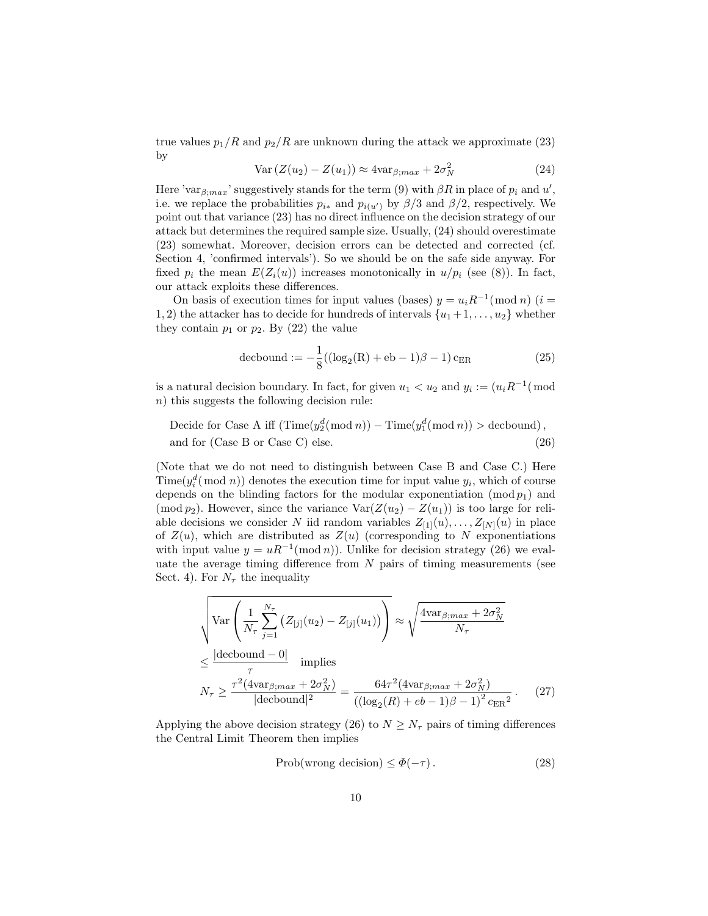true values  $p_1/R$  and  $p_2/R$  are unknown during the attack we approximate (23) by

$$
Var(Z(u_2) - Z(u_1)) \approx 4var_{\beta;max} + 2\sigma_N^2
$$
\n(24)

Here 'var $_{\beta;max}$ ' suggestively stands for the term (9) with  $\beta R$  in place of  $p_i$  and  $u'$ , i.e. we replace the probabilities  $p_{i*}$  and  $p_{i(u')}$  by  $\beta/3$  and  $\beta/2$ , respectively. We point out that variance (23) has no direct influence on the decision strategy of our attack but determines the required sample size. Usually, (24) should overestimate (23) somewhat. Moreover, decision errors can be detected and corrected (cf. Section 4, 'confirmed intervals'). So we should be on the safe side anyway. For fixed  $p_i$  the mean  $E(Z_i(u))$  increases monotonically in  $u/p_i$  (see (8)). In fact, our attack exploits these differences.

On basis of execution times for input values (bases)  $y = u_i R^{-1} \pmod{n}$  (i = 1, 2) the attacker has to decide for hundreds of intervals  $\{u_1+1,\ldots,u_2\}$  whether they contain  $p_1$  or  $p_2$ . By (22) the value

$$
decbound := -\frac{1}{8}((\log_2(R) + eb - 1)\beta - 1)c_{ER}
$$
 (25)

is a natural decision boundary. In fact, for given  $u_1 < u_2$  and  $y_i := (u_i R^{-1} \pmod{1})$ n) this suggests the following decision rule:

Decide for Case A iff  $(\text{Time}(y_2^d (\text{mod } n)) - \text{Time}(y_1^d (\text{mod } n)) > \text{decbound}),$ and for (Case B or Case C) else. (26)

(Note that we do not need to distinguish between Case B and Case C.) Here  $\text{Time}(y_i^d \text{ (mod } n))$  denotes the execution time for input value  $y_i$ , which of course depends on the blinding factors for the modular exponentiation  $(\text{mod } p_1)$  and (mod  $p_2$ ). However, since the variance Var $(Z(u_2) - Z(u_1))$  is too large for reliable decisions we consider N iid random variables  $Z_{[1]}(u), \ldots, Z_{[N]}(u)$  in place of  $Z(u)$ , which are distributed as  $Z(u)$  (corresponding to N exponentiations with input value  $y = uR^{-1}(\text{mod }n)$ . Unlike for decision strategy (26) we evaluate the average timing difference from  $N$  pairs of timing measurements (see Sect. 4). For  $N_{\tau}$  the inequality

$$
\sqrt{\text{Var}\left(\frac{1}{N_{\tau}}\sum_{j=1}^{N_{\tau}}\left(Z_{[j]}(u_{2})-Z_{[j]}(u_{1})\right)\right)} \approx \sqrt{\frac{4\text{var}_{\beta,max}+2\sigma_{N}^{2}}{N_{\tau}}}
$$
\n
$$
\leq \frac{|\text{decbound} - 0|}{\tau} \text{ implies}
$$
\n
$$
N_{\tau} \geq \frac{\tau^{2}(4\text{var}_{\beta,max}+2\sigma_{N}^{2})}{|\text{decbound}|^{2}} = \frac{64\tau^{2}(4\text{var}_{\beta,max}+2\sigma_{N}^{2})}{\left((\log_{2}(R)+eb-1)\beta-1\right)^{2}c_{\text{ER}}^{2}}.
$$
\n(27)

Applying the above decision strategy (26) to  $N \geq N_{\tau}$  pairs of timing differences the Central Limit Theorem then implies

$$
Prob(wrong decision) \le \Phi(-\tau). \tag{28}
$$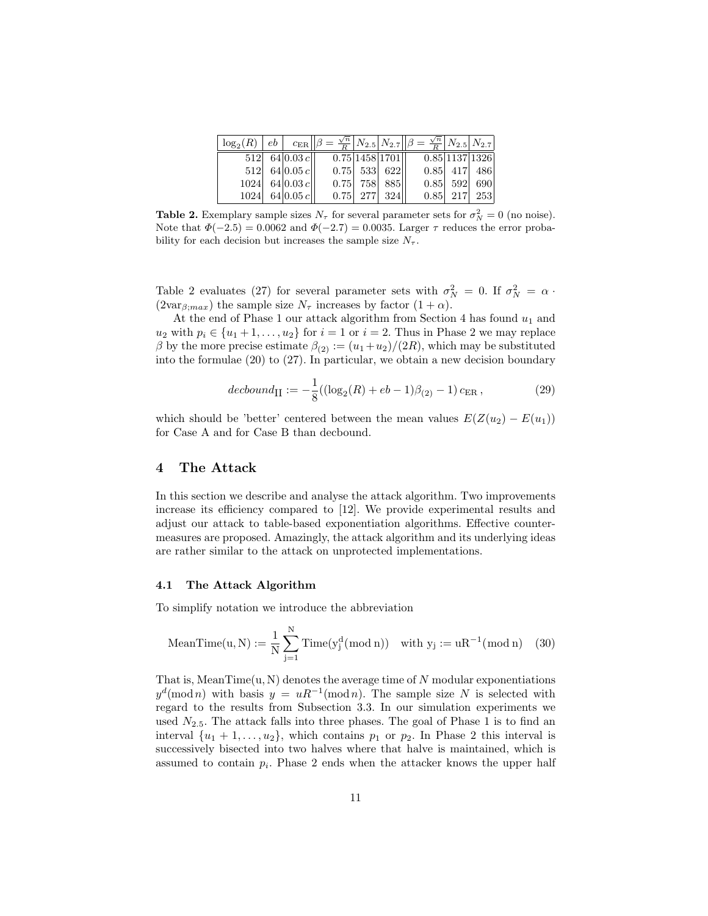| $ \log_2(R)  e b     c_{ER}    \beta = \frac{\sqrt{n}}{R}   N_{2.5}  N_{2.7}    \beta = \frac{\sqrt{n}}{R}   N_{2.5}  N_{2.7}$ |                                      |  |                             |            |                |
|--------------------------------------------------------------------------------------------------------------------------------|--------------------------------------|--|-----------------------------|------------|----------------|
|                                                                                                                                | $512 \mid 64 \mid 0.03 \mid c \mid$  |  | $\overline{0.75 1458 1701}$ |            | 0.85 1137 1326 |
|                                                                                                                                | $512 $ 64 0.05 c                     |  | $0.75$ 533 622              |            | $0.85$ 417 486 |
|                                                                                                                                | $1024 \mid 64 \mid 0.03 \mid c \mid$ |  | $0.75$ 758 885              | $0.85$ 592 | 690            |
|                                                                                                                                | $1024$ 64 0.05 c                     |  | $0.75$ 277 324              |            | $0.85$ 217 253 |

**Table 2.** Exemplary sample sizes  $N_{\tau}$  for several parameter sets for  $\sigma_N^2 = 0$  (no noise). Note that  $\Phi(-2.5) = 0.0062$  and  $\Phi(-2.7) = 0.0035$ . Larger  $\tau$  reduces the error probability for each decision but increases the sample size  $N_{\tau}$ .

Table 2 evaluates (27) for several parameter sets with  $\sigma_N^2 = 0$ . If  $\sigma_N^2 = \alpha$ .  $(2\text{var}_{\beta;max})$  the sample size  $N_{\tau}$  increases by factor  $(1+\alpha)$ .

At the end of Phase 1 our attack algorithm from Section 4 has found  $u_1$  and  $u_2$  with  $p_i \in \{u_1 + 1, \ldots, u_2\}$  for  $i = 1$  or  $i = 2$ . Thus in Phase 2 we may replace β by the more precise estimate  $β_{(2)} := (u_1+u_2)/(2R)$ , which may be substituted into the formulae (20) to (27). In particular, we obtain a new decision boundary

$$
decbound_{\text{II}} := -\frac{1}{8}((\log_2(R) + eb - 1)\beta_{(2)} - 1) c_{\text{ER}} ,\qquad (29)
$$

which should be 'better' centered between the mean values  $E(Z(u_2) - E(u_1))$ for Case A and for Case B than decbound.

#### 4 The Attack

In this section we describe and analyse the attack algorithm. Two improvements increase its efficiency compared to [12]. We provide experimental results and adjust our attack to table-based exponentiation algorithms. Effective countermeasures are proposed. Amazingly, the attack algorithm and its underlying ideas are rather similar to the attack on unprotected implementations.

#### 4.1 The Attack Algorithm

To simplify notation we introduce the abbreviation

$$
\text{MeanTime}(u, N) := \frac{1}{N} \sum_{j=1}^N \text{Time}(y_j^d (\text{mod } n)) \quad \text{with } y_j := uR^{-1} (\text{mod } n) \quad (30)
$$

That is, MeanTime $(u, N)$  denotes the average time of N modular exponentiations  $y^d \pmod{n}$  with basis  $y = uR^{-1} \pmod{n}$ . The sample size N is selected with regard to the results from Subsection 3.3. In our simulation experiments we used  $N_{2.5}$ . The attack falls into three phases. The goal of Phase 1 is to find an interval  $\{u_1 + 1, \ldots, u_2\}$ , which contains  $p_1$  or  $p_2$ . In Phase 2 this interval is successively bisected into two halves where that halve is maintained, which is assumed to contain  $p_i$ . Phase 2 ends when the attacker knows the upper half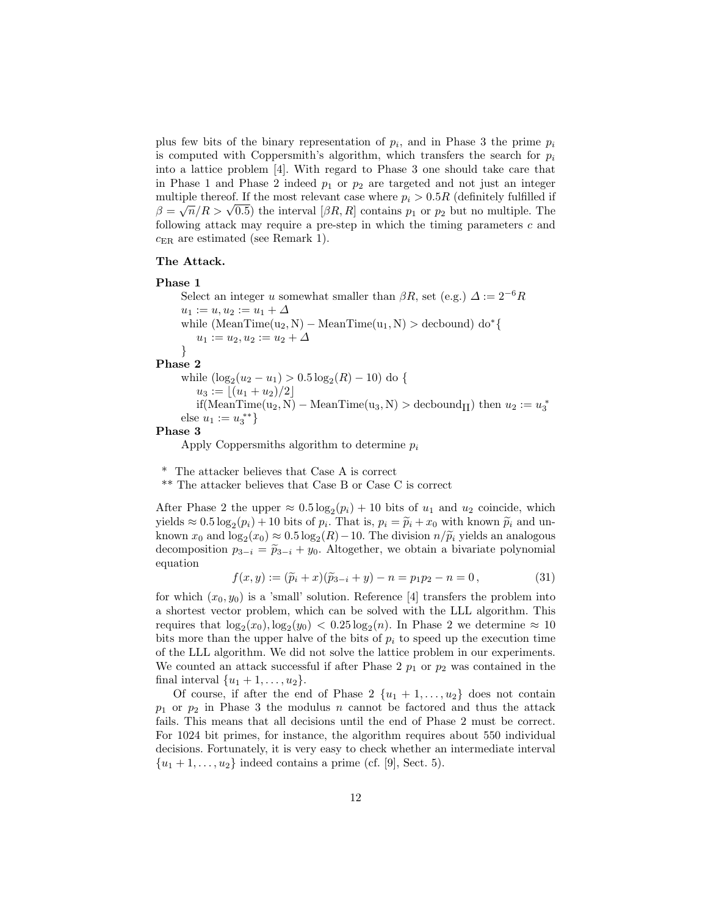plus few bits of the binary representation of  $p_i$ , and in Phase 3 the prime  $p_i$ is computed with Coppersmith's algorithm, which transfers the search for  $p_i$ into a lattice problem [4]. With regard to Phase 3 one should take care that in Phase 1 and Phase 2 indeed  $p_1$  or  $p_2$  are targeted and not just an integer multiple thereof. If the most relevant case where  $p_i > 0.5R$  (definitely fulfilled if multiple thereor. If the most relevant case where  $p_i > 0.5K$  (definitely fulfilled if  $\beta = \sqrt{n}/R > \sqrt{0.5}$ ) the interval  $[\beta R, R]$  contains  $p_1$  or  $p_2$  but no multiple. The following attack may require a pre-step in which the timing parameters c and  $c_{\text{ER}}$  are estimated (see Remark 1).

#### The Attack.

#### Phase 1

Select an integer u somewhat smaller than  $\beta R$ , set (e.g.)  $\Delta := 2^{-6}R$  $u_1 := u, u_2 := u_1 + \Delta$ while  $(MeanTime(u_2, N) - MeanTime(u_1, N) > decbound)$  do<sup>\*</sup>{  $u_1 := u_2, u_2 := u_2 + \Delta$ } Phase 2 while  $(\log_2(u_2 - u_1) > 0.5 \log_2(R) - 10)$  do {  $u_3 := |(u_1 + u_2)/2|$ if(MeanTime(u<sub>2</sub>, N) – MeanTime(u<sub>3</sub>, N) > decbound<sub>II</sub>) then  $u_2 := u_3^*$ else  $u_1 := u_3^{**}$ 

Phase 3

Apply Coppersmiths algorithm to determine  $p_i$ 

\* The attacker believes that Case A is correct

\*\* The attacker believes that Case B or Case C is correct

After Phase 2 the upper  $\approx 0.5 \log_2(p_i) + 10$  bits of  $u_1$  and  $u_2$  coincide, which yields  $\approx 0.5 \log_2(p_i) + 10$  bits of  $p_i$ . That is,  $p_i = \tilde{p}_i + x_0$  with known  $\tilde{p}_i$  and un-<br>length  $x_i$  and leg  $(x_i) \approx 0.5$  leg  $(P_i)$  10. The division  $x_i/\tilde{x}_i$  yields an analogous known  $x_0$  and  $\log_2(x_0) \approx 0.5 \log_2(R) - 10$ . The division  $n/\widetilde{p}_i$  yields an analogous decomposition  $n_{\widetilde{p}_i} = \widetilde{n}_i + \mu_i$ . Alterather, we obtain a biveriate polynomial decomposition  $p_{3-i} = \tilde{p}_{3-i} + y_0$ . Altogether, we obtain a bivariate polynomial equation

$$
f(x,y) := (\widetilde{p}_i + x)(\widetilde{p}_{3-i} + y) - n = p_1 p_2 - n = 0, \tag{31}
$$

for which  $(x_0, y_0)$  is a 'small' solution. Reference [4] transfers the problem into a shortest vector problem, which can be solved with the LLL algorithm. This requires that  $\log_2(x_0)$ ,  $\log_2(y_0)$  < 0.25  $\log_2(n)$ . In Phase 2 we determine  $\approx 10$ bits more than the upper halve of the bits of  $p_i$  to speed up the execution time of the LLL algorithm. We did not solve the lattice problem in our experiments. We counted an attack successful if after Phase 2  $p_1$  or  $p_2$  was contained in the final interval  $\{u_1 + 1, \ldots, u_2\}.$ 

Of course, if after the end of Phase 2  $\{u_1 + 1, \ldots, u_2\}$  does not contain  $p_1$  or  $p_2$  in Phase 3 the modulus n cannot be factored and thus the attack fails. This means that all decisions until the end of Phase 2 must be correct. For 1024 bit primes, for instance, the algorithm requires about 550 individual decisions. Fortunately, it is very easy to check whether an intermediate interval  $\{u_1+1,\ldots,u_2\}$  indeed contains a prime (cf. [9], Sect. 5).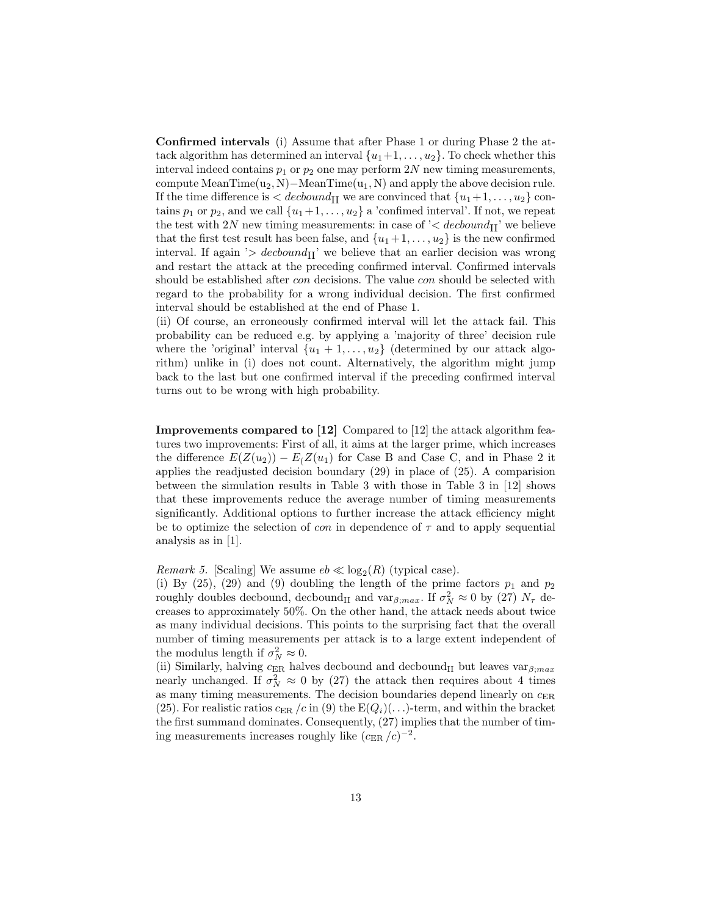Confirmed intervals (i) Assume that after Phase 1 or during Phase 2 the attack algorithm has determined an interval  $\{u_1+1,\ldots,u_2\}$ . To check whether this interval indeed contains  $p_1$  or  $p_2$  one may perform  $2N$  new timing measurements, compute MeanTime $(u_2, N)$ –MeanTime $(u_1, N)$  and apply the above decision rule. If the time difference is  $\langle$  decound<sub>II</sub> we are convinced that  $\{u_1+1,\ldots,u_2\}$  contains  $p_1$  or  $p_2$ , and we call  $\{u_1+1,\ldots,u_2\}$  a 'confimed interval'. If not, we repeat the test with 2N new timing measurements: in case of  $\leq$  decound<sub>II</sub>' we believe that the first test result has been false, and  $\{u_1+1,\ldots,u_2\}$  is the new confirmed interval. If again '>  $decbound_{\text{II}}$ ' we believe that an earlier decision was wrong and restart the attack at the preceding confirmed interval. Confirmed intervals should be established after con decisions. The value con should be selected with regard to the probability for a wrong individual decision. The first confirmed interval should be established at the end of Phase 1.

(ii) Of course, an erroneously confirmed interval will let the attack fail. This probability can be reduced e.g. by applying a 'majority of three' decision rule where the 'original' interval  $\{u_1 + 1, \ldots, u_2\}$  (determined by our attack algorithm) unlike in (i) does not count. Alternatively, the algorithm might jump back to the last but one confirmed interval if the preceding confirmed interval turns out to be wrong with high probability.

Improvements compared to [12] Compared to [12] the attack algorithm features two improvements: First of all, it aims at the larger prime, which increases the difference  $E(Z(u_2)) - E(Z(u_1))$  for Case B and Case C, and in Phase 2 it applies the readjusted decision boundary (29) in place of (25). A comparision between the simulation results in Table 3 with those in Table 3 in [12] shows that these improvements reduce the average number of timing measurements significantly. Additional options to further increase the attack efficiency might be to optimize the selection of *con* in dependence of  $\tau$  and to apply sequential analysis as in [1].

*Remark 5.* [Scaling] We assume  $eb \ll log_2(R)$  (typical case).

(i) By (25), (29) and (9) doubling the length of the prime factors  $p_1$  and  $p_2$ roughly doubles decbound, decbound<sub>II</sub> and var $_{\beta;max}$ . If  $\sigma_N^2 \approx 0$  by (27)  $N_{\tau}$  decreases to approximately 50%. On the other hand, the attack needs about twice as many individual decisions. This points to the surprising fact that the overall number of timing measurements per attack is to a large extent independent of the modulus length if  $\sigma_N^2 \approx 0$ .

(ii) Similarly, halving  $c_{\text{ER}}$  halves decbound and decbound<sub>II</sub> but leaves var $_{\beta;max}$ nearly unchanged. If  $\sigma_N^2 \approx 0$  by (27) the attack then requires about 4 times as many timing measurements. The decision boundaries depend linearly on  $c_{\text{ER}}$ (25). For realistic ratios  $c_{\text{ER}}/c$  in (9) the  $E(Q_i)(\ldots)$ -term, and within the bracket the first summand dominates. Consequently, (27) implies that the number of timing measurements increases roughly like  $(c_{\rm ER}/c)^{-2}$ .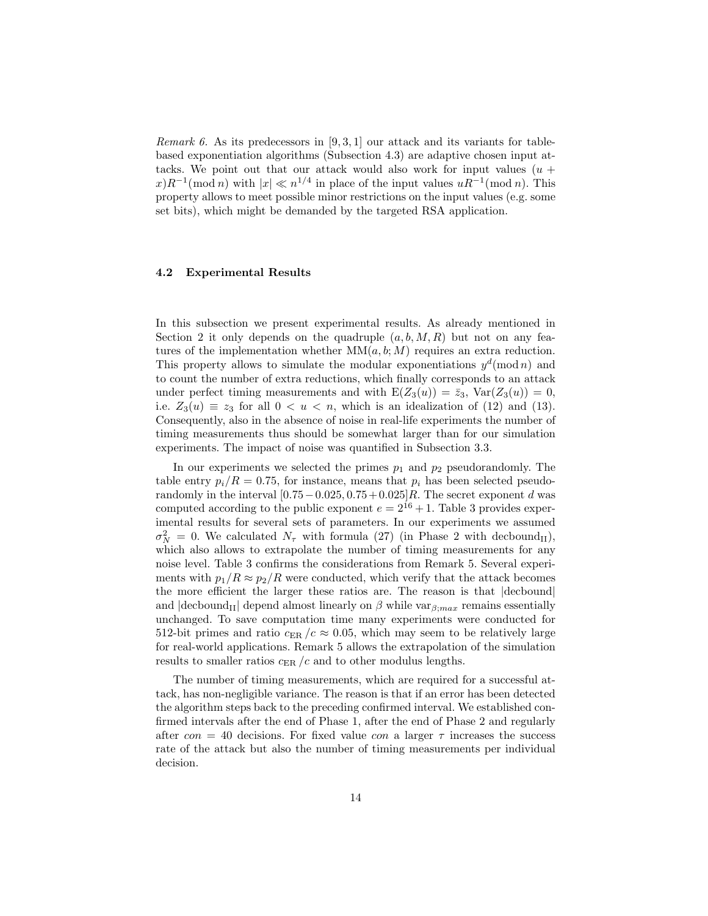*Remark 6.* As its predecessors in [9, 3, 1] our attack and its variants for tablebased exponentiation algorithms (Subsection 4.3) are adaptive chosen input attacks. We point out that our attack would also work for input values  $(u +$  $(x)R^{-1}(\text{mod }n)$  with  $|x| \ll n^{1/4}$  in place of the input values  $uR^{-1}(\text{mod }n)$ . This property allows to meet possible minor restrictions on the input values (e.g. some set bits), which might be demanded by the targeted RSA application.

## 4.2 Experimental Results

In this subsection we present experimental results. As already mentioned in Section 2 it only depends on the quadruple  $(a, b, M, R)$  but not on any features of the implementation whether  $MM(a, b; M)$  requires an extra reduction. This property allows to simulate the modular exponentiations  $y^d \text{ (mod } n)$  and to count the number of extra reductions, which finally corresponds to an attack under perfect timing measurements and with  $E(Z_3(u)) = \bar{z}_3$ ,  $Var(Z_3(u)) = 0$ , i.e.  $Z_3(u) \equiv z_3$  for all  $0 < u < n$ , which is an idealization of (12) and (13). Consequently, also in the absence of noise in real-life experiments the number of timing measurements thus should be somewhat larger than for our simulation experiments. The impact of noise was quantified in Subsection 3.3.

In our experiments we selected the primes  $p_1$  and  $p_2$  pseudorandomly. The table entry  $p_i/R = 0.75$ , for instance, means that  $p_i$  has been selected pseudorandomly in the interval  $[0.75-0.025, 0.75+0.025]R$ . The secret exponent d was computed according to the public exponent  $e = 2^{16} + 1$ . Table 3 provides experimental results for several sets of parameters. In our experiments we assumed  $\sigma_N^2 = 0$ . We calculated  $N_\tau$  with formula (27) (in Phase 2 with decbound<sub>II</sub>), which also allows to extrapolate the number of timing measurements for any noise level. Table 3 confirms the considerations from Remark 5. Several experiments with  $p_1/R \approx p_2/R$  were conducted, which verify that the attack becomes the more efficient the larger these ratios are. The reason is that |decbound| and  $|decbound_{II}|$  depend almost linearly on  $\beta$  while var $_{\beta;max}$  remains essentially unchanged. To save computation time many experiments were conducted for 512-bit primes and ratio  $c_{ER}/c \approx 0.05$ , which may seem to be relatively large for real-world applications. Remark 5 allows the extrapolation of the simulation results to smaller ratios  $c_{ER}/c$  and to other modulus lengths.

The number of timing measurements, which are required for a successful attack, has non-negligible variance. The reason is that if an error has been detected the algorithm steps back to the preceding confirmed interval. We established confirmed intervals after the end of Phase 1, after the end of Phase 2 and regularly after  $con = 40$  decisions. For fixed value  $con$  a larger  $\tau$  increases the success rate of the attack but also the number of timing measurements per individual decision.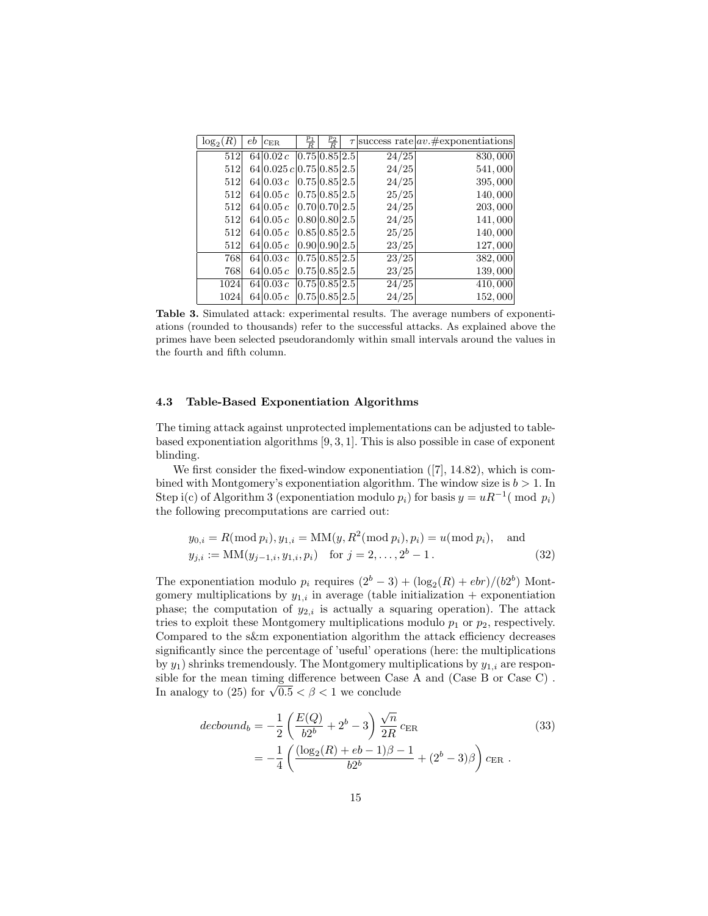| $\log_2(R)$ | еb | $c_{\rm ER}$            | $\frac{p_1}{R}$ | $\frac{p_2}{R}$ |       | $\tau$ success rate $ av. \#$ exponentiations |
|-------------|----|-------------------------|-----------------|-----------------|-------|-----------------------------------------------|
| 512         |    | 64 0.02c                | 0.75 0.85 2.5   |                 | 24/25 | 830,000                                       |
| 512         |    | 64 0.025c 0.75 0.85 2.5 |                 |                 | 24/25 | 541,000                                       |
| 512         |    | 64 0.03c                | 0.75 0.85 2.5   |                 | 24/25 | 395,000                                       |
| 512         |    | 64 0.05c                | 0.75 0.85 2.5   |                 | 25/25 | 140,000                                       |
| 512         |    | 64 0.05c                | 0.70 0.70 2.5   |                 | 24/25 | 203,000                                       |
| 512         |    | 64 0.05c                | 0.80 0.80 2.5   |                 | 24/25 | 141,000                                       |
| 512         |    | 64 0.05c                | 0.85 0.85 2.5   |                 | 25/25 | 140,000                                       |
| 512         |    | 64 0.05c                | 0.90 0.90 2.5   |                 | 23/25 | 127,000                                       |
| 768         |    | 64 0.03c                | 0.75 0.85 2.5   |                 | 23/25 | 382,000                                       |
| 768         |    | 64 0.05c                | 0.75 0.85 2.5   |                 | 23/25 | 139,000                                       |
| 1024        |    | 64 0.03c                | 0.75 0.85 2.5   |                 | 24/25 | 410,000                                       |
| 1024        |    | 64 0.05c                | 0.75 0.85 2.5   |                 | 24/25 | 152,000                                       |

Table 3. Simulated attack: experimental results. The average numbers of exponentiations (rounded to thousands) refer to the successful attacks. As explained above the primes have been selected pseudorandomly within small intervals around the values in the fourth and fifth column.

## 4.3 Table-Based Exponentiation Algorithms

The timing attack against unprotected implementations can be adjusted to tablebased exponentiation algorithms [9, 3, 1]. This is also possible in case of exponent blinding.

We first consider the fixed-window exponentiation  $(7, 14.82)$ , which is combined with Montgomery's exponentiation algorithm. The window size is  $b > 1$ . In Step i(c) of Algorithm 3 (exponentiation modulo  $p_i$ ) for basis  $y = uR^{-1}(\text{ mod } p_i)$ the following precomputations are carried out:

$$
y_{0,i} = R(\text{mod } p_i), y_{1,i} = MM(y, R^2(\text{mod } p_i), p_i) = u(\text{mod } p_i), \text{ and}
$$
  

$$
y_{j,i} := MM(y_{j-1,i}, y_{1,i}, p_i) \text{ for } j = 2, ..., 2^b - 1.
$$
 (32)

The exponentiation modulo  $p_i$  requires  $(2^b - 3) + (\log_2(R) + ebr)/(b2^b)$  Montgomery multiplications by  $y_{1,i}$  in average (table initialization + exponentiation phase; the computation of  $y_{2,i}$  is actually a squaring operation). The attack tries to exploit these Montgomery multiplications modulo  $p_1$  or  $p_2$ , respectively. Compared to the s&m exponentiation algorithm the attack efficiency decreases significantly since the percentage of 'useful' operations (here: the multiplications by  $y_1$ ) shrinks tremendously. The Montgomery multiplications by  $y_{1,i}$  are responsible for the mean timing difference between Case A and (Case B or Case C) . sible for the mean timing difference between Cas<br>In analogy to (25) for  $\sqrt{0.5} < \beta < 1$  we conclude

$$
decbound_b = -\frac{1}{2} \left( \frac{E(Q)}{b2^b} + 2^b - 3 \right) \frac{\sqrt{n}}{2R} c_{\text{ER}} \n= -\frac{1}{4} \left( \frac{(\log_2(R) + eb - 1)\beta - 1}{b2^b} + (2^b - 3)\beta \right) c_{\text{ER}}.
$$
\n(33)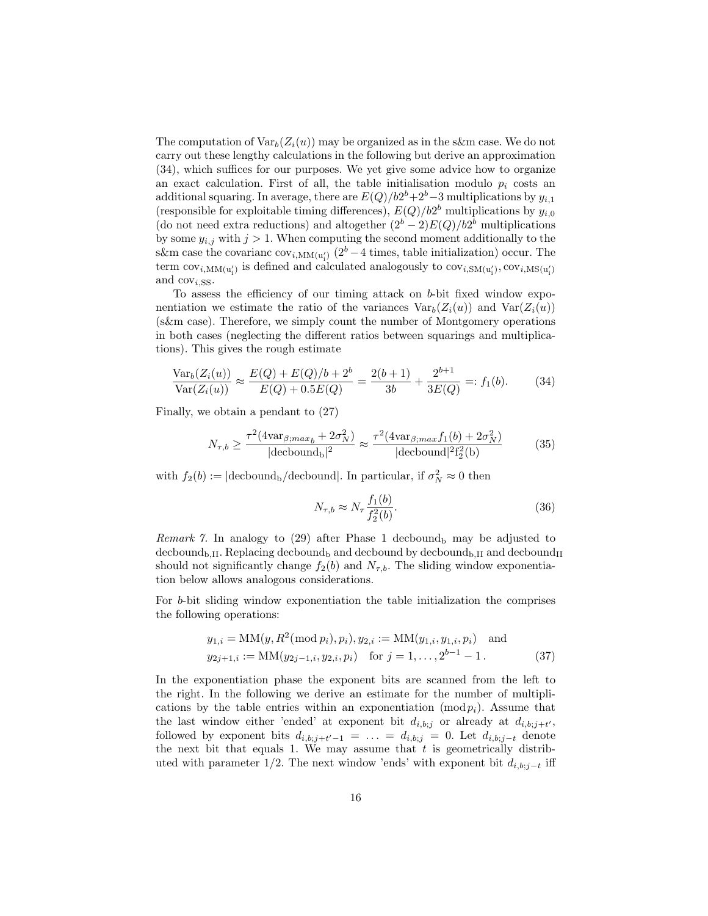The computation of  $Var_b(Z_i(u))$  may be organized as in the s&m case. We do not carry out these lengthy calculations in the following but derive an approximation (34), which suffices for our purposes. We yet give some advice how to organize an exact calculation. First of all, the table initialisation modulo  $p_i$  costs an additional squaring. In average, there are  $E(Q)/b2^{b}+2^{b}-3$  multiplications by  $y_{i,1}$ (responsible for exploitable timing differences),  $E(Q)/b2^b$  multiplications by  $y_{i,0}$ (do not need extra reductions) and altogether  $(2^b - 2)E(Q)/b2^b$  multiplications by some  $y_{i,j}$  with  $j > 1$ . When computing the second moment additionally to the s&m case the covarianc  $cov_{i, MM(u'_i)}$  (2<sup>b</sup> −4 times, table initialization) occur. The term  $\text{cov}_{i,\text{MM(u'_{i}})}$  is defined and calculated analogously to  $\text{cov}_{i,\text{SM(u'_{i})}},\text{cov}_{i,\text{MS(u'_{i})}}$ and  $\text{cov}_{i,SS}$ .

To assess the efficiency of our timing attack on b-bit fixed window exponentiation we estimate the ratio of the variances  $Var_b(Z_i(u))$  and  $Var(Z_i(u))$ (s&m case). Therefore, we simply count the number of Montgomery operations in both cases (neglecting the different ratios between squarings and multiplications). This gives the rough estimate

$$
\frac{\text{Var}_b(Z_i(u))}{\text{Var}(Z_i(u))} \approx \frac{E(Q) + E(Q)/b + 2^b}{E(Q) + 0.5E(Q)} = \frac{2(b+1)}{3b} + \frac{2^{b+1}}{3E(Q)} =: f_1(b). \tag{34}
$$

Finally, we obtain a pendant to (27)

$$
N_{\tau,b} \ge \frac{\tau^2 (4\text{var}_{\beta;max_b} + 2\sigma_N^2)}{|\text{decbound}_b|^2} \approx \frac{\tau^2 (4\text{var}_{\beta;max}f_1(b) + 2\sigma_N^2)}{|\text{decbound}|^2 f_2^2(b)}\tag{35}
$$

with  $f_2(b) := |\text{decbound}_b/\text{decbound}|$ . In particular, if  $\sigma_N^2 \approx 0$  then

$$
N_{\tau,b} \approx N_{\tau} \frac{f_1(b)}{f_2^2(b)}.\tag{36}
$$

Remark 7. In analogy to  $(29)$  after Phase 1 decbound<sub>b</sub> may be adjusted to decbound<sub>b,II</sub>. Replacing decbound<sub>b</sub> and decbound by decbound<sub>b,II</sub> and decbound<sub>II</sub> should not significantly change  $f_2(b)$  and  $N_{\tau,b}$ . The sliding window exponentiation below allows analogous considerations.

For b-bit sliding window exponentiation the table initialization the comprises the following operations:

$$
y_{1,i} = MM(y, R^2(\text{mod } p_i), p_i), y_{2,i} := MM(y_{1,i}, y_{1,i}, p_i) \text{ and}
$$
  

$$
y_{2j+1,i} := MM(y_{2j-1,i}, y_{2,i}, p_i) \text{ for } j = 1, ..., 2^{b-1} - 1.
$$
 (37)

In the exponentiation phase the exponent bits are scanned from the left to the right. In the following we derive an estimate for the number of multiplications by the table entries within an exponentiation  $(\text{mod } p_i)$ . Assume that the last window either 'ended' at exponent bit  $d_{i,b;j}$  or already at  $d_{i,b;j+t'}$ , followed by exponent bits  $d_{i,b;j+t'-1} = \ldots = d_{i,b;j} = 0$ . Let  $d_{i,b;j-t}$  denote the next bit that equals 1. We may assume that  $t$  is geometrically distributed with parameter 1/2. The next window 'ends' with exponent bit  $d_{i,b;j-t}$  iff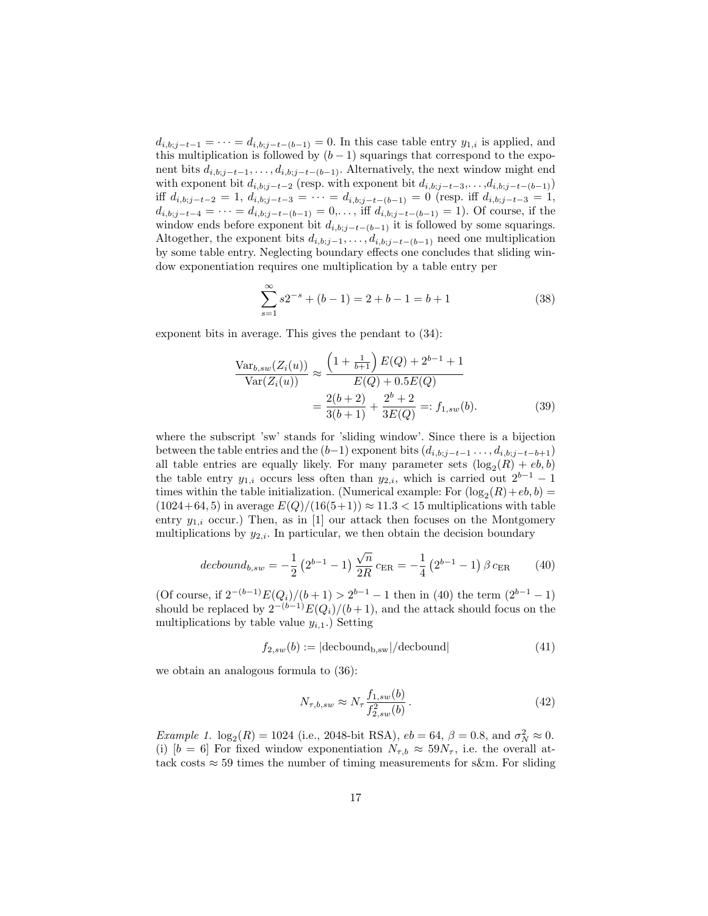$d_{i,b;j-t-1} = \cdots = d_{i,b;j-t-(b-1)} = 0$ . In this case table entry  $y_{1,i}$  is applied, and this multiplication is followed by  $(b-1)$  squarings that correspond to the exponent bits  $d_{i,b;j-t-1}, \ldots, d_{i,b;j-t-(b-1)}$ . Alternatively, the next window might end with exponent bit  $d_{i,b;j-t-2}$  (resp. with exponent bit  $d_{i,b;j-t-3},\ldots,d_{i,b;j-t-(b-1)}$ ) iff  $d_{i,b;j-t-2} = 1$ ,  $d_{i,b;j-t-3} = \cdots = d_{i,b;j-t-(b-1)} = 0$  (resp. iff  $d_{i,b;j-t-3} = 1$ ,  $d_{i,b;j-t-4} = \cdots = d_{i,b;j-t-(b-1)} = 0, \ldots$ , iff  $d_{i,b;j-t-(b-1)} = 1$ ). Of course, if the window ends before exponent bit  $d_{i,b;j-t-(b-1)}$  it is followed by some squarings. Altogether, the exponent bits  $d_{i,b;j-1}, \ldots, d_{i,b;j-t-(b-1)}$  need one multiplication by some table entry. Neglecting boundary effects one concludes that sliding window exponentiation requires one multiplication by a table entry per

$$
\sum_{s=1}^{\infty} s2^{-s} + (b-1) = 2 + b - 1 = b + 1
$$
 (38)

exponent bits in average. This gives the pendant to (34):

$$
\frac{\text{Var}_{b,sw}(Z_i(u))}{\text{Var}(Z_i(u))} \approx \frac{\left(1 + \frac{1}{b+1}\right)E(Q) + 2^{b-1} + 1}{E(Q) + 0.5E(Q)} = \frac{2(b+2)}{3(b+1)} + \frac{2^b + 2}{3E(Q)} =: f_{1,sw}(b).
$$
\n(39)

where the subscript 'sw' stands for 'sliding window'. Since there is a bijection between the table entries and the  $(b-1)$  exponent bits  $(d_{i,b;j-t-1} \ldots, d_{i,b;j-t-b+1})$ all table entries are equally likely. For many parameter sets  $(\log_2(R) + eb, b)$ the table entry  $y_{1,i}$  occurs less often than  $y_{2,i}$ , which is carried out  $2^{b-1} - 1$ times within the table initialization. (Numerical example: For  $(\log_2(R) + eb, b)$  =  $(1024+64, 5)$  in average  $E(Q)/(16(5+1)) \approx 11.3 < 15$  multiplications with table entry  $y_{1,i}$  occur.) Then, as in [1] our attack then focuses on the Montgomery multiplications by  $y_{2,i}$ . In particular, we then obtain the decision boundary

$$
decbound_{b,sw} = -\frac{1}{2} \left( 2^{b-1} - 1 \right) \frac{\sqrt{n}}{2R} c_{\text{ER}} = -\frac{1}{4} \left( 2^{b-1} - 1 \right) \beta c_{\text{ER}} \tag{40}
$$

(Of course, if  $2^{-(b-1)}E(Q_i)/(b+1) > 2^{b-1} - 1$  then in (40) the term  $(2^{b-1} - 1)$ should be replaced by  $2^{-(b-1)}E(Q_i)/(b+1)$ , and the attack should focus on the multiplications by table value  $y_{i,1}$ .) Setting

$$
f_{2,sw}(b) := |\text{decbound}_{b,sw}| / \text{decbound}|
$$
\n(41)

we obtain an analogous formula to (36):

$$
N_{\tau,b,sw} \approx N_{\tau} \frac{f_{1,sw}(b)}{f_{2,sw}^2(b)}\,. \tag{42}
$$

Example 1.  $\log_2(R) = 1024$  (i.e., 2048-bit RSA),  $eb = 64$ ,  $\beta = 0.8$ , and  $\sigma_N^2 \approx 0$ . (i)  $[b = 6]$  For fixed window exponentiation  $N_{\tau,b} \approx 59N_{\tau}$ , i.e. the overall attack costs  $\approx$  59 times the number of timing measurements for s&m. For sliding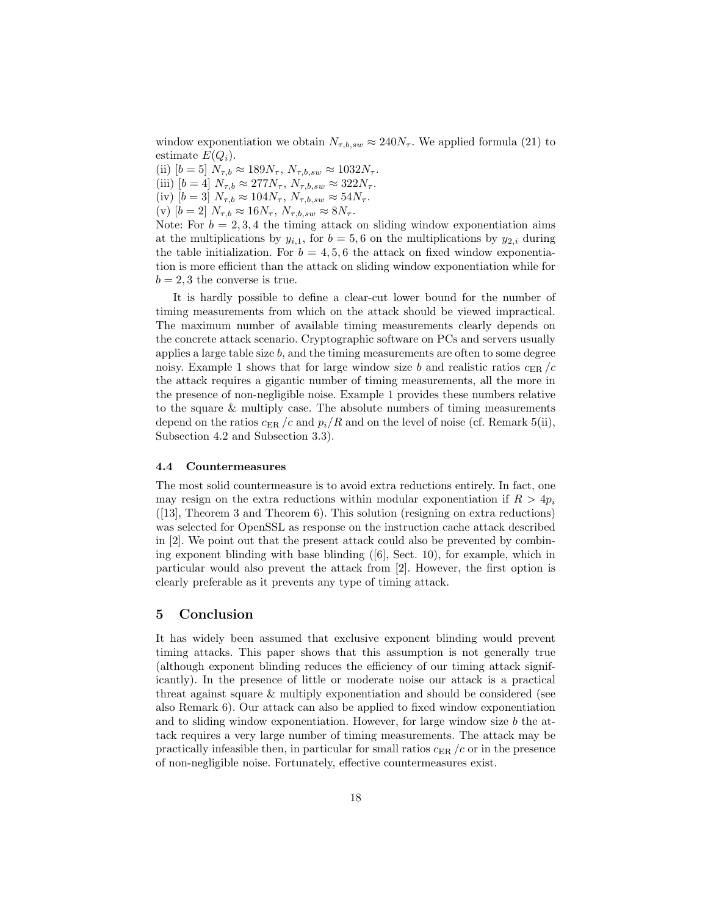window exponentiation we obtain  $N_{\tau,b,sw} \approx 240N_{\tau}$ . We applied formula (21) to estimate  $E(Q_i)$ .

(ii)  $[b = 5] N_{\tau,b} \approx 189N_{\tau}, N_{\tau,b,sw} \approx 1032N_{\tau}.$ 

(iii)  $[b = 4]$   $N_{\tau,b} \approx 277N_{\tau}, N_{\tau,b,sw} \approx 322N_{\tau}.$ 

(iv)  $[b = 3] N_{\tau,b} \approx 104N_{\tau}$ ,  $N_{\tau,b,sw} \approx 54N_{\tau}$ .

(v)  $[b = 2] N_{\tau,b} \approx 16N_{\tau}$ ,  $N_{\tau,b,sw} \approx 8N_{\tau}$ .

Note: For  $b = 2, 3, 4$  the timing attack on sliding window exponentiation aims at the multiplications by  $y_{i,1}$ , for  $b = 5, 6$  on the multiplications by  $y_{2,i}$  during the table initialization. For  $b = 4, 5, 6$  the attack on fixed window exponentiation is more efficient than the attack on sliding window exponentiation while for  $b = 2, 3$  the converse is true.

It is hardly possible to define a clear-cut lower bound for the number of timing measurements from which on the attack should be viewed impractical. The maximum number of available timing measurements clearly depends on the concrete attack scenario. Cryptographic software on PCs and servers usually applies a large table size b, and the timing measurements are often to some degree noisy. Example 1 shows that for large window size b and realistic ratios  $c_{ER}/c$ the attack requires a gigantic number of timing measurements, all the more in the presence of non-negligible noise. Example 1 provides these numbers relative to the square & multiply case. The absolute numbers of timing measurements depend on the ratios  $c_{ER}/c$  and  $p_i/R$  and on the level of noise (cf. Remark 5(ii), Subsection 4.2 and Subsection 3.3).

#### 4.4 Countermeasures

The most solid countermeasure is to avoid extra reductions entirely. In fact, one may resign on the extra reductions within modular exponentiation if  $R > 4p_i$ ([13], Theorem 3 and Theorem 6). This solution (resigning on extra reductions) was selected for OpenSSL as response on the instruction cache attack described in [2]. We point out that the present attack could also be prevented by combining exponent blinding with base blinding  $([6], \text{ Sect. } 10)$ , for example, which in particular would also prevent the attack from [2]. However, the first option is clearly preferable as it prevents any type of timing attack.

# 5 Conclusion

It has widely been assumed that exclusive exponent blinding would prevent timing attacks. This paper shows that this assumption is not generally true (although exponent blinding reduces the efficiency of our timing attack significantly). In the presence of little or moderate noise our attack is a practical threat against square & multiply exponentiation and should be considered (see also Remark 6). Our attack can also be applied to fixed window exponentiation and to sliding window exponentiation. However, for large window size  $b$  the attack requires a very large number of timing measurements. The attack may be practically infeasible then, in particular for small ratios  $c_{ER}/c$  or in the presence of non-negligible noise. Fortunately, effective countermeasures exist.